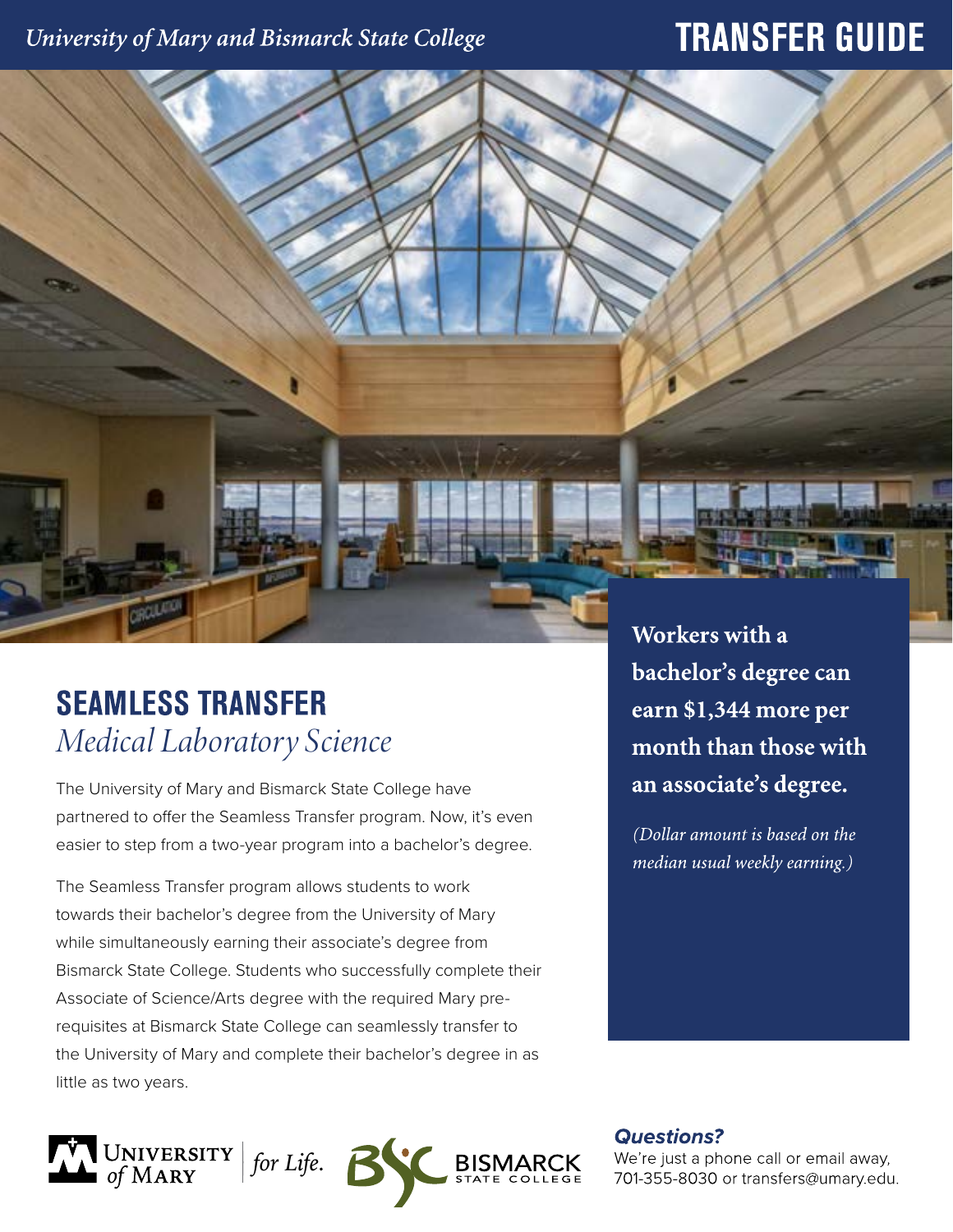# University of Mary and Bismarck State College

# **TRANSFER GUIDE**

# **SEAMLESS TRANSFER** *Medical Laboratory Science*

The University of Mary and Bismarck State College have partnered to offer the Seamless Transfer program. Now, it's even easier to step from a two-year program into a bachelor's degree.

The Seamless Transfer program allows students to work towards their bachelor's degree from the University of Mary while simultaneously earning their associate's degree from Bismarck State College. Students who successfully complete their Associate of Science/Arts degree with the required Mary prerequisites at Bismarck State College can seamlessly transfer to the University of Mary and complete their bachelor's degree in as little as two years.



Workers with a bachelor's degree can earn \$1,344 more per month than those with an associate's degree.

(Dollar amount is based on the median usual weekly earning.)

**Questions?** 

We're just a phone call or email away, 701-355-8030 or transfers@umary.edu.